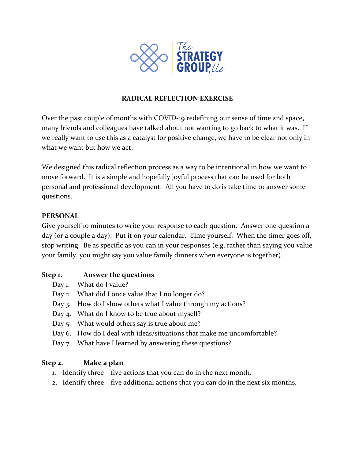

## **RADICAL REFLECTION EXERCISE**

Over the past couple of months with COVID-19 redefining our sense of time and space, many friends and colleagues have talked about not wanting to go back to what it was. If we really want to use this as a catalyst for positive change, we have to be clear not only in what we want but how we act.

We designed this radical reflection process as a way to be intentional in how we want to move forward. It is a simple and hopefully joyful process that can be used for both personal and professional development. All you have to do is take time to answer some questions.

### **PERSONAL**

Give yourself 10 minutes to write your response to each question. Answer one question a day (or a couple a day). Put it on your calendar. Time yourself. When the timer goes off, stop writing. Be as specific as you can in your responses (e.g. rather than saying you value your family, you might say you value family dinners when everyone is together).

# **Step 1. Answer the questions**

- Day 1. What do I value?
- Day 2. What did I once value that I no longer do?
- Day 3. How do I show others what I value through my actions?
- Day 4. What do I know to be true about myself?
- Day 5. What would others say is true about me?
- Day 6. How do I deal with ideas/situations that make me uncomfortable?
- Day 7. What have I learned by answering these questions?

# **Step 2. Make a plan**

- 1. Identify three five actions that you can do in the next month.
- 2. Identify three five additional actions that you can do in the next six months.